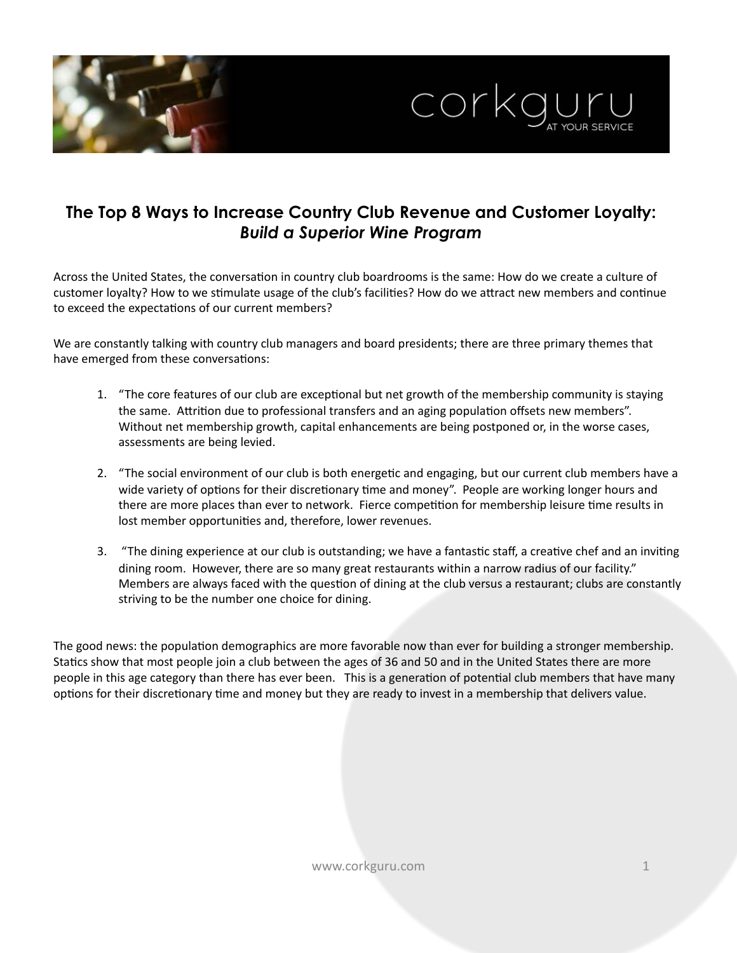

# **The Top 8 Ways to Increase Country Club Revenue and Customer Loyalty:**  *Build a Superior Wine Program*

Across the United States, the conversation in country club boardrooms is the same: How do we create a culture of customer loyalty? How to we stimulate usage of the club's facilities? How do we attract new members and continue to exceed the expectations of our current members?

We are constantly talking with country club managers and board presidents; there are three primary themes that have emerged from these conversations:

- 1. "The core features of our club are exceptional but net growth of the membership community is staying the same. Attrition due to professional transfers and an aging population offsets new members". Without net membership growth, capital enhancements are being postponed or, in the worse cases, assessments are being levied.
- 2. "The social environment of our club is both energetic and engaging, but our current club members have a wide variety of options for their discretionary time and money". People are working longer hours and there are more places than ever to network. Fierce competition for membership leisure time results in lost member opportunities and, therefore, lower revenues.
- 3. "The dining experience at our club is outstanding; we have a fantastic staff, a creative chef and an inviting dining room. However, there are so many great restaurants within a narrow radius of our facility." Members are always faced with the question of dining at the club versus a restaurant; clubs are constantly striving to be the number one choice for dining.

The good news: the population demographics are more favorable now than ever for building a stronger membership. Statics show that most people join a club between the ages of 36 and 50 and in the United States there are more people in this age category than there has ever been. This is a generation of potential club members that have many options for their discretionary time and money but they are ready to invest in a membership that delivers value.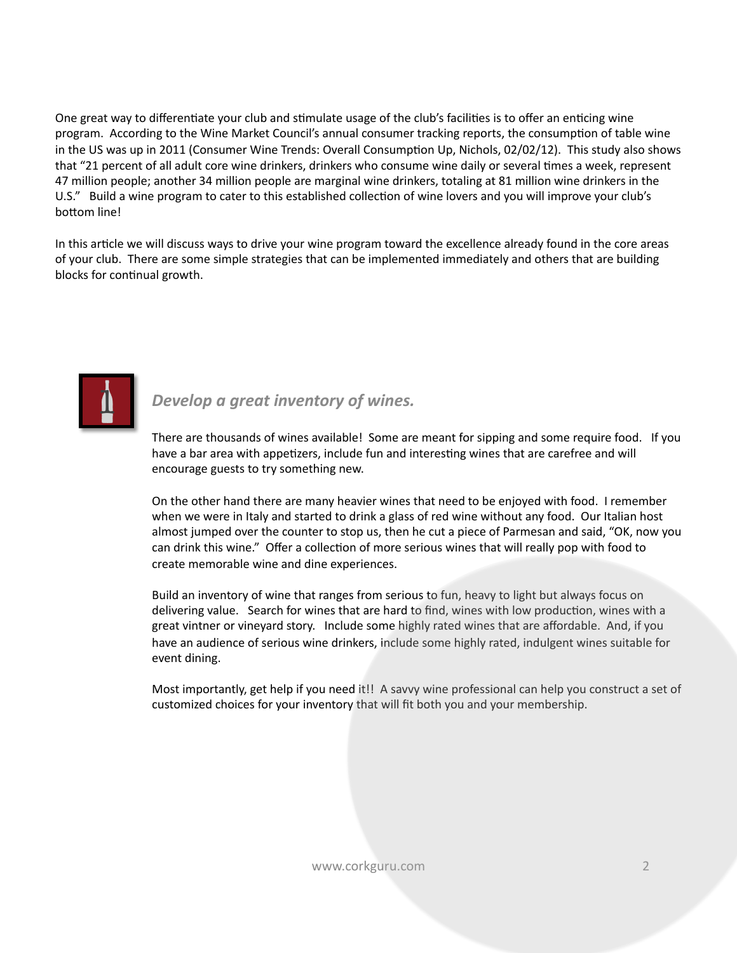One great way to differentiate your club and stimulate usage of the club's facilities is to offer an enticing wine program. According to the Wine Market Council's annual consumer tracking reports, the consumption of table wine in the US was up in 2011 (Consumer Wine Trends: Overall Consumption Up, Nichols, 02/02/12). This study also shows that "21 percent of all adult core wine drinkers, drinkers who consume wine daily or several times a week, represent 47 million people; another 34 million people are marginal wine drinkers, totaling at 81 million wine drinkers in the U.S." Build a wine program to cater to this established collection of wine lovers and you will improve your club's bottom line!

In this article we will discuss ways to drive your wine program toward the excellence already found in the core areas of your club. There are some simple strategies that can be implemented immediately and others that are building blocks for continual growth.



**Develop** a great inventory of wines.

There are thousands of wines available! Some are meant for sipping and some require food. If you have a bar area with appetizers, include fun and interesting wines that are carefree and will encourage guests to try something new.

On the other hand there are many heavier wines that need to be enjoyed with food. I remember when we were in Italy and started to drink a glass of red wine without any food. Our Italian host almost jumped over the counter to stop us, then he cut a piece of Parmesan and said, "OK, now you can drink this wine." Offer a collection of more serious wines that will really pop with food to create memorable wine and dine experiences.

Build an inventory of wine that ranges from serious to fun, heavy to light but always focus on delivering value. Search for wines that are hard to find, wines with low production, wines with a great vintner or vineyard story. Include some highly rated wines that are affordable. And, if you have an audience of serious wine drinkers, include some highly rated, indulgent wines suitable for event dining.

Most importantly, get help if you need it!! A savvy wine professional can help you construct a set of customized choices for your inventory that will fit both you and your membership.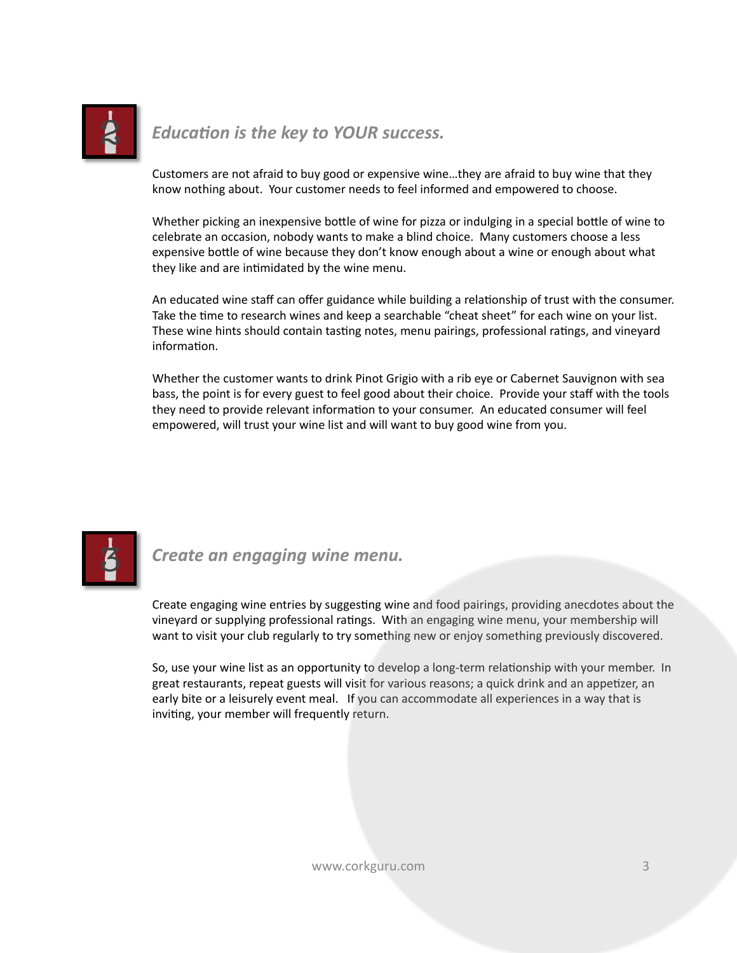

*Education is the key to YOUR success.* 

Customers are not afraid to buy good or expensive wine...they are afraid to buy wine that they know nothing about. Your customer needs to feel informed and empowered to choose.

Whether picking an inexpensive bottle of wine for pizza or indulging in a special bottle of wine to celebrate an occasion, nobody wants to make a blind choice. Many customers choose a less expensive bottle of wine because they don't know enough about a wine or enough about what they like and are intimidated by the wine menu.

An educated wine staff can offer guidance while building a relationship of trust with the consumer. Take the time to research wines and keep a searchable "cheat sheet" for each wine on your list. These wine hints should contain tasting notes, menu pairings, professional ratings, and vineyard information.

Whether the customer wants to drink Pinot Grigio with a rib eye or Cabernet Sauvignon with sea bass, the point is for every guest to feel good about their choice. Provide your staff with the tools they need to provide relevant information to your consumer. An educated consumer will feel empowered, will trust your wine list and will want to buy good wine from you.



*Create an engaging wine menu.* 

Create engaging wine entries by suggesting wine and food pairings, providing anecdotes about the vineyard or supplying professional ratings. With an engaging wine menu, your membership will want to visit your club regularly to try something new or enjoy something previously discovered.

So, use your wine list as an opportunity to develop a long-term relationship with your member. In great restaurants, repeat guests will visit for various reasons; a quick drink and an appetizer, an early bite or a leisurely event meal. If you can accommodate all experiences in a way that is inviting, your member will frequently return.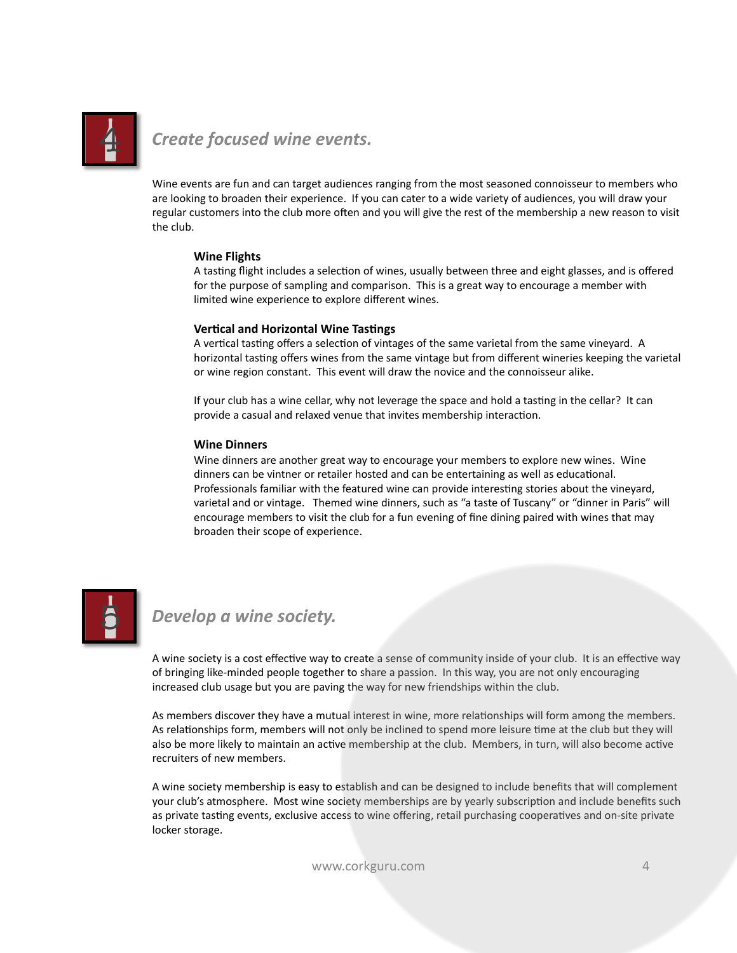

## *Create focused wine events.*

Wine events are fun and can target audiences ranging from the most seasoned connoisseur to members who are looking to broaden their experience. If you can cater to a wide variety of audiences, you will draw your regular customers into the club more often and you will give the rest of the membership a new reason to visit the club.

#### **Wine Flights**

A tasting flight includes a selection of wines, usually between three and eight glasses, and is offered for the purpose of sampling and comparison. This is a great way to encourage a member with limited wine experience to explore different wines.

#### **Vertical and Horizontal Wine Tastings**

A vertical tasting offers a selection of vintages of the same varietal from the same vineyard. A horizontal tasting offers wines from the same vintage but from different wineries keeping the varietal or wine region constant. This event will draw the novice and the connoisseur alike.

If your club has a wine cellar, why not leverage the space and hold a tasting in the cellar? It can provide a casual and relaxed venue that invites membership interaction.

#### **Wine Dinners**

Wine dinners are another great way to encourage your members to explore new wines. Wine dinners can be vintner or retailer hosted and can be entertaining as well as educational. Professionals familiar with the featured wine can provide interesting stories about the vineyard, varietal and or vintage. Themed wine dinners, such as "a taste of Tuscany" or "dinner in Paris" will encourage members to visit the club for a fun evening of fine dining paired with wines that may broaden their scope of experience.



### **Develop** a wine society.

A wine society is a cost effective way to create a sense of community inside of your club. It is an effective way of bringing like-minded people together to share a passion. In this way, you are not only encouraging increased club usage but you are paving the way for new friendships within the club.

As members discover they have a mutual interest in wine, more relationships will form among the members. As relationships form, members will not only be inclined to spend more leisure time at the club but they will also be more likely to maintain an active membership at the club. Members, in turn, will also become active recruiters of new members.

A wine society membership is easy to establish and can be designed to include benefits that will complement your club's atmosphere. Most wine society memberships are by yearly subscription and include benefits such as private tasting events, exclusive access to wine offering, retail purchasing cooperatives and on-site private locker storage.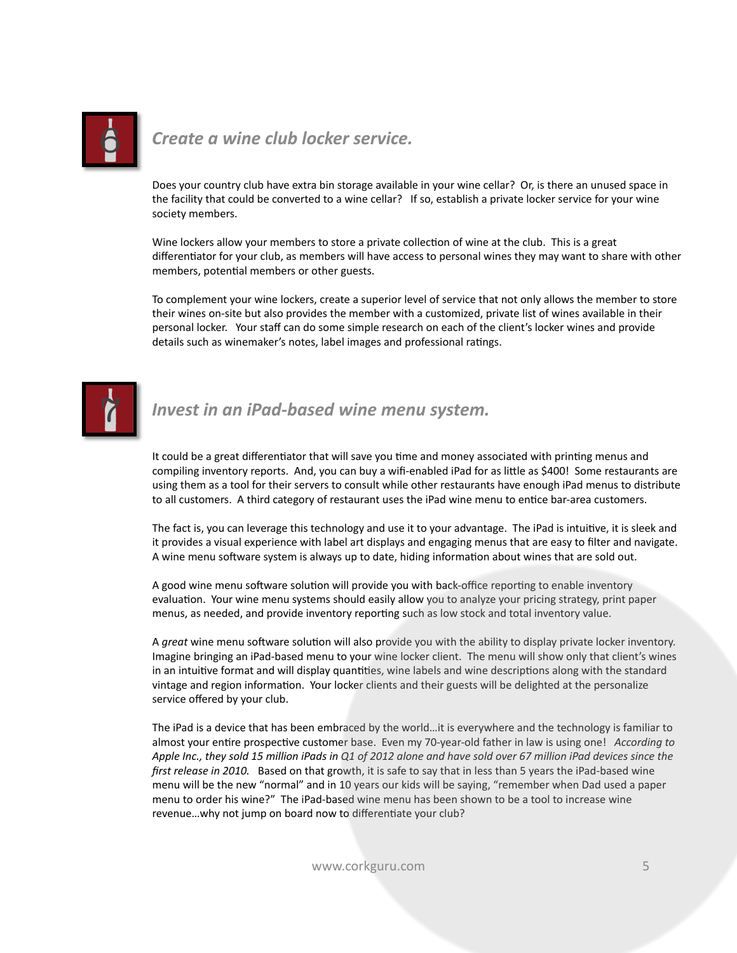

# **Create a wine club locker service.**

Does your country club have extra bin storage available in your wine cellar? Or, is there an unused space in the facility that could be converted to a wine cellar? If so, establish a private locker service for your wine society members.

Wine lockers allow your members to store a private collection of wine at the club. This is a great differentiator for your club, as members will have access to personal wines they may want to share with other members, potential members or other guests.

To complement your wine lockers, create a superior level of service that not only allows the member to store their wines on-site but also provides the member with a customized, private list of wines available in their personal locker. Your staff can do some simple research on each of the client's locker wines and provide details such as winemaker's notes, label images and professional ratings.



## **Invest in an iPad-based wine menu system.**

It could be a great differentiator that will save you time and money associated with printing menus and compiling inventory reports. And, you can buy a wifi-enabled iPad for as little as \$400! Some restaurants are using them as a tool for their servers to consult while other restaurants have enough iPad menus to distribute to all customers. A third category of restaurant uses the iPad wine menu to entice bar-area customers.

The fact is, you can leverage this technology and use it to your advantage. The iPad is intuitive, it is sleek and it provides a visual experience with label art displays and engaging menus that are easy to filter and navigate. A wine menu software system is always up to date, hiding information about wines that are sold out.

A good wine menu software solution will provide you with back-office reporting to enable inventory evaluation. Your wine menu systems should easily allow you to analyze your pricing strategy, print paper menus, as needed, and provide inventory reporting such as low stock and total inventory value.

A great wine menu software solution will also provide you with the ability to display private locker inventory. Imagine bringing an iPad-based menu to your wine locker client. The menu will show only that client's wines in an intuitive format and will display quantities, wine labels and wine descriptions along with the standard vintage and region information. Your locker clients and their guests will be delighted at the personalize service offered by your club.

The iPad is a device that has been embraced by the world...it is everywhere and the technology is familiar to almost your entire prospective customer base. Even my 70-year-old father in law is using one! *According to* Apple Inc., they sold 15 million iPads in Q1 of 2012 alone and have sold over 67 million iPad devices since the *first release in 2010.* Based on that growth, it is safe to say that in less than 5 years the iPad-based wine menu will be the new "normal" and in 10 years our kids will be saying, "remember when Dad used a paper menu to order his wine?" The iPad-based wine menu has been shown to be a tool to increase wine revenue...why not jump on board now to differentiate your club?